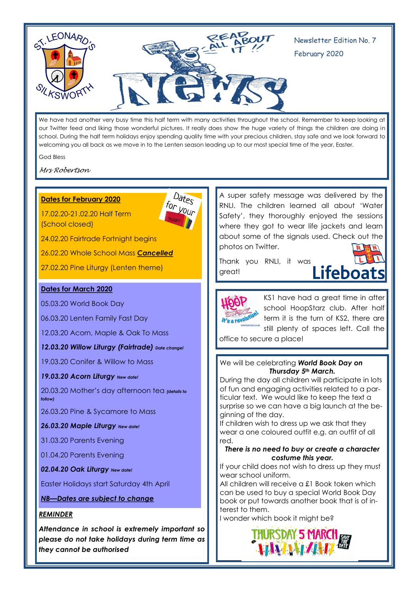

Dates for your

We have had another very busy time this half term with many activities throughout the school. Remember to keep looking at our Twitter feed and liking those wonderful pictures. It really does show the huge variety of things the children are doing in school. During the half term holidays enjoy spending quality time with your precious children, stay safe and we look forward to welcoming you all back as we move in to the Lenten season leading up to our most special time of the year, Easter.

God Bless

*Mrs Robertson*

#### **Dates for February 2020**

17.02.20-21.02.20 Half Term (School closed)



26.02.20 Whole School Mass *Cancelled*

27.02.20 Pine Liturgy (Lenten theme)

#### **Dates for March 2020**

05.03.20 World Book Day

06.03.20 Lenten Family Fast Day

12.03.20 Acorn, Maple & Oak To Mass

#### *12.03.20 Willow Liturgy (Fairtrade) Date change!*

19.03.20 Conifer & Willow to Mass

*19.03.20 Acorn Liturgy New date!*

20.03.20 Mother's day afternoon tea *(details to follow)*

26.03.20 Pine & Sycamore to Mass

*26.03.20 Maple Liturgy New date!*

31.03.20 Parents Evening

01.04.20 Parents Evening

*02.04.20 Oak Liturgy New date!*

Easter Holidays start Saturday 4th April

#### *NB—Dates are subject to change*

#### *REMINDER*

*Attendance in school is extremely important so please do not take holidays during term time as they cannot be authorised* 

A super safety message was delivered by the RNLI. The children learned all about 'Water Safety', they thoroughly enjoyed the sessions where they got to wear life jackets and learn about some of the signals used. Check out the photos on Twitter.

Thank you RNLI, it was **LEARTY** great!



KS1 have had a great time in after school HoopStarz club. After half term it is the turn of KS2, there are still plenty of spaces left. Call the

office to secure a place!

#### We will be celebrating *World Book Day on Thursday 5th March.*

During the day all children will participate in lots of fun and engaging activities related to a particular text. We would like to keep the text a surprise so we can have a big launch at the beginning of the day.

If children wish to dress up we ask that they wear a one coloured outfit e.g. an outfit of all red.

#### *There is no need to buy or create a character costume this year.*

If your child does not wish to dress up they must wear school uniform.

All children will receive a £1 Book token which can be used to buy a special World Book Day book or put towards another book that is of interest to them.

I wonder which book it might be?